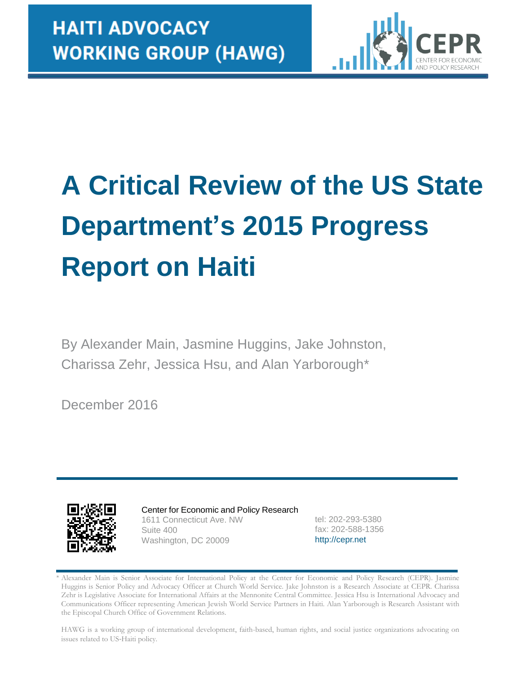

# **A Critical Review of the US State Department's 2015 Progress Report on Haiti**

By Alexander Main, Jasmine Huggins, Jake Johnston, Charissa Zehr, Jessica Hsu, and Alan Yarborough\*

December 2016



Center for Economic and Policy Research 1611 Connecticut Ave. NW Suite 400 Washington, DC 20009

tel: 202-293-5380 fax: 202-588-1356 [http://cepr.net](http://cepr.net/)

HAWG is a working group of international development, faith-based, human rights, and social justice organizations advocating on issues related to US-Haiti policy.

Alexander Main is Senior Associate for International Policy at the Center for Economic and Policy Research (CEPR). Jasmine Huggins is Senior Policy and Advocacy Officer at Church World Service. Jake Johnston is a Research Associate at CEPR. Charissa Zehr is Legislative Associate for International Affairs at the Mennonite Central Committee. Jessica Hsu is International Advocacy and Communications Officer representing American Jewish World Service Partners in Haiti. Alan Yarborough is Research Assistant with the Episcopal Church Office of Government Relations.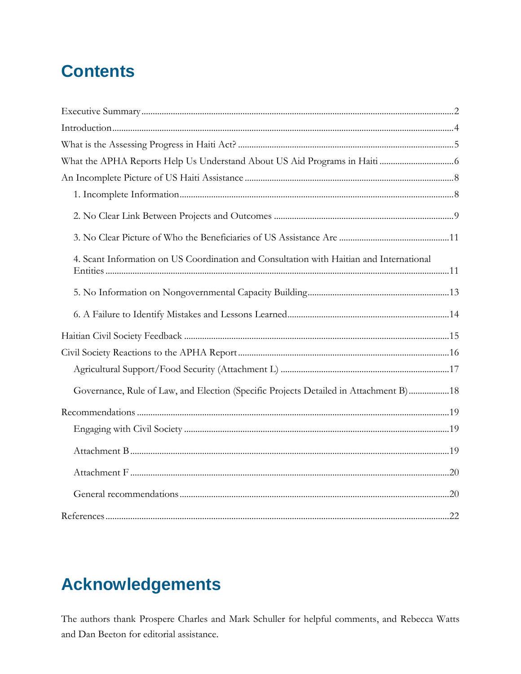# **Contents**

| 4. Scant Information on US Coordination and Consultation with Haitian and International |  |
|-----------------------------------------------------------------------------------------|--|
|                                                                                         |  |
|                                                                                         |  |
|                                                                                         |  |
|                                                                                         |  |
|                                                                                         |  |
| Governance, Rule of Law, and Election (Specific Projects Detailed in Attachment B) 18   |  |
|                                                                                         |  |
|                                                                                         |  |
|                                                                                         |  |
|                                                                                         |  |
|                                                                                         |  |
|                                                                                         |  |

# **Acknowledgements**

The authors thank Prospere Charles and Mark Schuller for helpful comments, and Rebecca Watts and Dan Beeton for editorial assistance.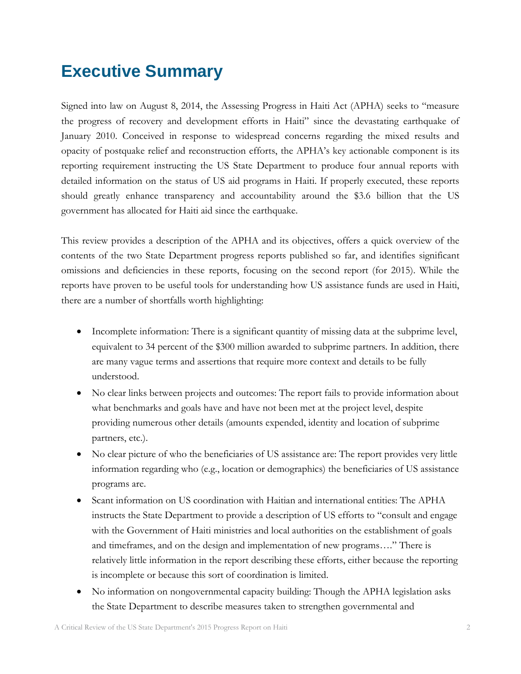# <span id="page-2-0"></span>**Executive Summary**

Signed into law on August 8, 2014, the Assessing Progress in Haiti Act (APHA) seeks to "measure the progress of recovery and development efforts in Haiti" since the devastating earthquake of January 2010. Conceived in response to widespread concerns regarding the mixed results and opacity of postquake relief and reconstruction efforts, the APHA's key actionable component is its reporting requirement instructing the US State Department to produce four annual reports with detailed information on the status of US aid programs in Haiti. If properly executed, these reports should greatly enhance transparency and accountability around the \$3.6 billion that the US government has allocated for Haiti aid since the earthquake.

This review provides a description of the APHA and its objectives, offers a quick overview of the contents of the two State Department progress reports published so far, and identifies significant omissions and deficiencies in these reports, focusing on the second report (for 2015). While the reports have proven to be useful tools for understanding how US assistance funds are used in Haiti, there are a number of shortfalls worth highlighting:

- Incomplete information: There is a significant quantity of missing data at the subprime level, equivalent to 34 percent of the \$300 million awarded to subprime partners. In addition, there are many vague terms and assertions that require more context and details to be fully understood.
- No clear links between projects and outcomes: The report fails to provide information about what benchmarks and goals have and have not been met at the project level, despite providing numerous other details (amounts expended, identity and location of subprime partners, etc.).
- No clear picture of who the beneficiaries of US assistance are: The report provides very little information regarding who (e.g., location or demographics) the beneficiaries of US assistance programs are.
- Scant information on US coordination with Haitian and international entities: The APHA instructs the State Department to provide a description of US efforts to "consult and engage with the Government of Haiti ministries and local authorities on the establishment of goals and timeframes, and on the design and implementation of new programs…." There is relatively little information in the report describing these efforts, either because the reporting is incomplete or because this sort of coordination is limited.
- No information on nongovernmental capacity building: Though the APHA legislation asks the State Department to describe measures taken to strengthen governmental and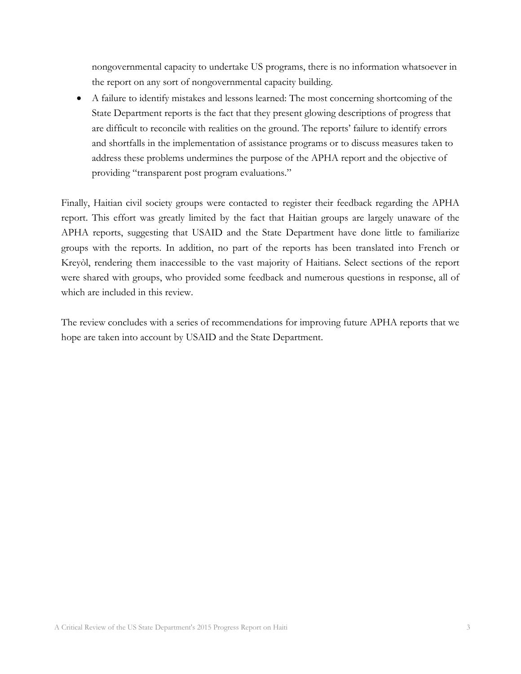nongovernmental capacity to undertake US programs, there is no information whatsoever in the report on any sort of nongovernmental capacity building.

 A failure to identify mistakes and lessons learned: The most concerning shortcoming of the State Department reports is the fact that they present glowing descriptions of progress that are difficult to reconcile with realities on the ground. The reports' failure to identify errors and shortfalls in the implementation of assistance programs or to discuss measures taken to address these problems undermines the purpose of the APHA report and the objective of providing "transparent post program evaluations."

Finally, Haitian civil society groups were contacted to register their feedback regarding the APHA report. This effort was greatly limited by the fact that Haitian groups are largely unaware of the APHA reports, suggesting that USAID and the State Department have done little to familiarize groups with the reports. In addition, no part of the reports has been translated into French or Kreyòl, rendering them inaccessible to the vast majority of Haitians. Select sections of the report were shared with groups, who provided some feedback and numerous questions in response, all of which are included in this review.

The review concludes with a series of recommendations for improving future APHA reports that we hope are taken into account by USAID and the State Department.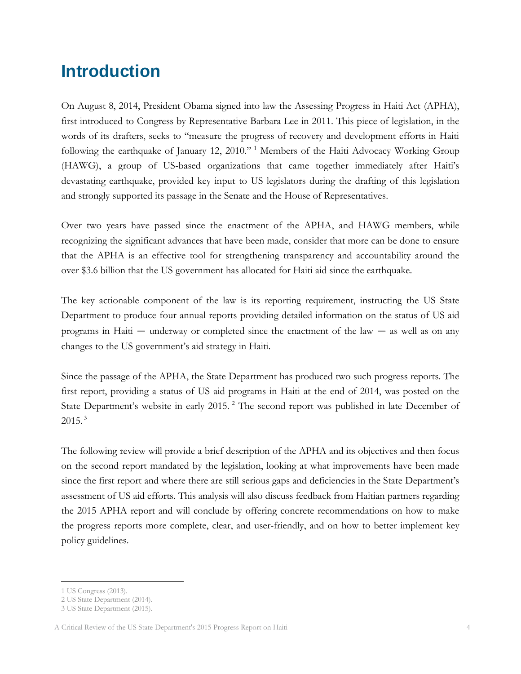## <span id="page-4-0"></span>**Introduction**

On August 8, 2014, President Obama signed into law the Assessing Progress in Haiti Act (APHA), first introduced to Congress by Representative Barbara Lee in 2011. This piece of legislation, in the words of its drafters, seeks to "measure the progress of recovery and development efforts in Haiti following the earthquake of January 12, 2010." <sup>1</sup> Members of the Haiti Advocacy Working Group (HAWG), a group of US-based organizations that came together immediately after Haiti's devastating earthquake, provided key input to US legislators during the drafting of this legislation and strongly supported its passage in the Senate and the House of Representatives.

Over two years have passed since the enactment of the APHA, and HAWG members, while recognizing the significant advances that have been made, consider that more can be done to ensure that the APHA is an effective tool for strengthening transparency and accountability around the over \$3.6 billion that the US government has allocated for Haiti aid since the earthquake.

The key actionable component of the law is its reporting requirement, instructing the US State Department to produce four annual reports providing detailed information on the status of US aid programs in Haiti — underway or completed since the enactment of the law — as well as on any changes to the US government's aid strategy in Haiti.

Since the passage of the APHA, the State Department has produced two such progress reports. The first report, providing a status of US aid programs in Haiti at the end of 2014, was posted on the State Department's website in early 2015.<sup>2</sup> The second report was published in late December of  $2015.<sup>3</sup>$ 

The following review will provide a brief description of the APHA and its objectives and then focus on the second report mandated by the legislation, looking at what improvements have been made since the first report and where there are still serious gaps and deficiencies in the State Department's assessment of US aid efforts. This analysis will also discuss feedback from Haitian partners regarding the 2015 APHA report and will conclude by offering concrete recommendations on how to make the progress reports more complete, clear, and user-friendly, and on how to better implement key policy guidelines.

<sup>1</sup> US Congress (2013).

<sup>2</sup> US State Department (2014).

<sup>3</sup> US State Department (2015).

A Critical Review of the US State Department's 2015 Progress Report on Haiti 4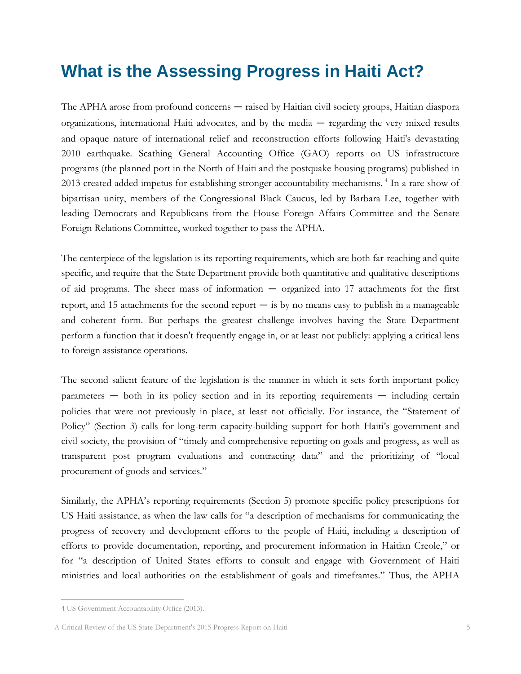# <span id="page-5-0"></span>**What is the Assessing Progress in Haiti Act?**

The APHA arose from profound concerns — raised by Haitian civil society groups, Haitian diaspora organizations, international Haiti advocates, and by the media — regarding the very mixed results and opaque nature of international relief and reconstruction efforts following Haiti's devastating 2010 earthquake. Scathing General Accounting Office (GAO) reports on US infrastructure programs (the planned port in the North of Haiti and the postquake housing programs) published in 2013 created added impetus for establishing stronger accountability mechanisms.<sup>4</sup> In a rare show of bipartisan unity, members of the Congressional Black Caucus, led by Barbara Lee, together with leading Democrats and Republicans from the House Foreign Affairs Committee and the Senate Foreign Relations Committee, worked together to pass the APHA.

The centerpiece of the legislation is its reporting requirements, which are both far-reaching and quite specific, and require that the State Department provide both quantitative and qualitative descriptions of aid programs. The sheer mass of information — organized into 17 attachments for the first report, and 15 attachments for the second report  $-$  is by no means easy to publish in a manageable and coherent form. But perhaps the greatest challenge involves having the State Department perform a function that it doesn't frequently engage in, or at least not publicly: applying a critical lens to foreign assistance operations.

The second salient feature of the legislation is the manner in which it sets forth important policy parameters — both in its policy section and in its reporting requirements — including certain policies that were not previously in place, at least not officially. For instance, the "Statement of Policy" (Section 3) calls for long-term capacity-building support for both Haiti's government and civil society, the provision of "timely and comprehensive reporting on goals and progress, as well as transparent post program evaluations and contracting data" and the prioritizing of "local procurement of goods and services."

Similarly, the APHA's reporting requirements (Section 5) promote specific policy prescriptions for US Haiti assistance, as when the law calls for "a description of mechanisms for communicating the progress of recovery and development efforts to the people of Haiti, including a description of efforts to provide documentation, reporting, and procurement information in Haitian Creole," or for "a description of United States efforts to consult and engage with Government of Haiti ministries and local authorities on the establishment of goals and timeframes." Thus, the APHA

<sup>4</sup> US Government Accountability Office (2013).

A Critical Review of the US State Department's 2015 Progress Report on Haiti 5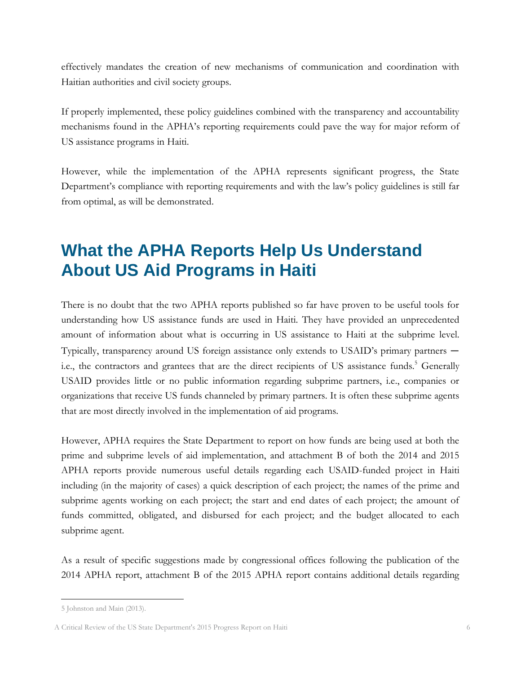effectively mandates the creation of new mechanisms of communication and coordination with Haitian authorities and civil society groups.

If properly implemented, these policy guidelines combined with the transparency and accountability mechanisms found in the APHA's reporting requirements could pave the way for major reform of US assistance programs in Haiti.

However, while the implementation of the APHA represents significant progress, the State Department's compliance with reporting requirements and with the law's policy guidelines is still far from optimal, as will be demonstrated.

# <span id="page-6-0"></span>**What the APHA Reports Help Us Understand About US Aid Programs in Haiti**

There is no doubt that the two APHA reports published so far have proven to be useful tools for understanding how US assistance funds are used in Haiti. They have provided an unprecedented amount of information about what is occurring in US assistance to Haiti at the subprime level. Typically, transparency around US foreign assistance only extends to USAID's primary partners i.e., the contractors and grantees that are the direct recipients of US assistance funds.<sup>5</sup> Generally USAID provides little or no public information regarding subprime partners, i.e., companies or organizations that receive US funds channeled by primary partners. It is often these subprime agents that are most directly involved in the implementation of aid programs.

However, APHA requires the State Department to report on how funds are being used at both the prime and subprime levels of aid implementation, and attachment B of both the 2014 and 2015 APHA reports provide numerous useful details regarding each USAID-funded project in Haiti including (in the majority of cases) a quick description of each project; the names of the prime and subprime agents working on each project; the start and end dates of each project; the amount of funds committed, obligated, and disbursed for each project; and the budget allocated to each subprime agent.

As a result of specific suggestions made by congressional offices following the publication of the 2014 APHA report, attachment B of the 2015 APHA report contains additional details regarding

<sup>5</sup> Johnston and Main (2013).

A Critical Review of the US State Department's 2015 Progress Report on Haiti 6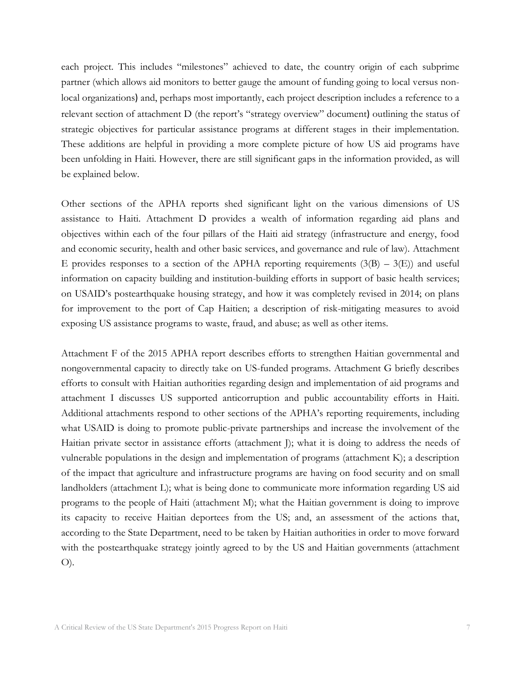each project. This includes "milestones" achieved to date, the country origin of each subprime partner (which allows aid monitors to better gauge the amount of funding going to local versus nonlocal organizations) and, perhaps most importantly, each project description includes a reference to a relevant section of attachment D (the report's "strategy overview" document) outlining the status of strategic objectives for particular assistance programs at different stages in their implementation. These additions are helpful in providing a more complete picture of how US aid programs have been unfolding in Haiti. However, there are still significant gaps in the information provided, as will be explained below.

Other sections of the APHA reports shed significant light on the various dimensions of US assistance to Haiti. Attachment D provides a wealth of information regarding aid plans and objectives within each of the four pillars of the Haiti aid strategy (infrastructure and energy, food and economic security, health and other basic services, and governance and rule of law). Attachment E provides responses to a section of the APHA reporting requirements  $(3(B) - 3(E))$  and useful information on capacity building and institution-building efforts in support of basic health services; on USAID's postearthquake housing strategy, and how it was completely revised in 2014; on plans for improvement to the port of Cap Haitien; a description of risk-mitigating measures to avoid exposing US assistance programs to waste, fraud, and abuse; as well as other items.

Attachment F of the 2015 APHA report describes efforts to strengthen Haitian governmental and nongovernmental capacity to directly take on US-funded programs. Attachment G briefly describes efforts to consult with Haitian authorities regarding design and implementation of aid programs and attachment I discusses US supported anticorruption and public accountability efforts in Haiti. Additional attachments respond to other sections of the APHA's reporting requirements, including what USAID is doing to promote public-private partnerships and increase the involvement of the Haitian private sector in assistance efforts (attachment J); what it is doing to address the needs of vulnerable populations in the design and implementation of programs (attachment K); a description of the impact that agriculture and infrastructure programs are having on food security and on small landholders (attachment L); what is being done to communicate more information regarding US aid programs to the people of Haiti (attachment M); what the Haitian government is doing to improve its capacity to receive Haitian deportees from the US; and, an assessment of the actions that, according to the State Department, need to be taken by Haitian authorities in order to move forward with the postearthquake strategy jointly agreed to by the US and Haitian governments (attachment O).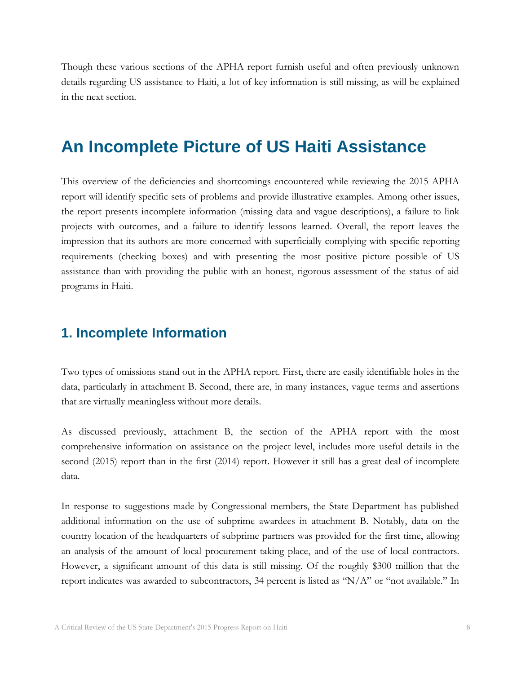Though these various sections of the APHA report furnish useful and often previously unknown details regarding US assistance to Haiti, a lot of key information is still missing, as will be explained in the next section.

## <span id="page-8-0"></span>**An Incomplete Picture of US Haiti Assistance**

This overview of the deficiencies and shortcomings encountered while reviewing the 2015 APHA report will identify specific sets of problems and provide illustrative examples. Among other issues, the report presents incomplete information (missing data and vague descriptions), a failure to link projects with outcomes, and a failure to identify lessons learned. Overall, the report leaves the impression that its authors are more concerned with superficially complying with specific reporting requirements (checking boxes) and with presenting the most positive picture possible of US assistance than with providing the public with an honest, rigorous assessment of the status of aid programs in Haiti.

#### <span id="page-8-1"></span>**1. Incomplete Information**

Two types of omissions stand out in the APHA report. First, there are easily identifiable holes in the data, particularly in attachment B. Second, there are, in many instances, vague terms and assertions that are virtually meaningless without more details.

As discussed previously, attachment B, the section of the APHA report with the most comprehensive information on assistance on the project level, includes more useful details in the second (2015) report than in the first (2014) report. However it still has a great deal of incomplete data.

In response to suggestions made by Congressional members, the State Department has published additional information on the use of subprime awardees in attachment B. Notably, data on the country location of the headquarters of subprime partners was provided for the first time, allowing an analysis of the amount of local procurement taking place, and of the use of local contractors. However, a significant amount of this data is still missing. Of the roughly \$300 million that the report indicates was awarded to subcontractors, 34 percent is listed as "N/A" or "not available." In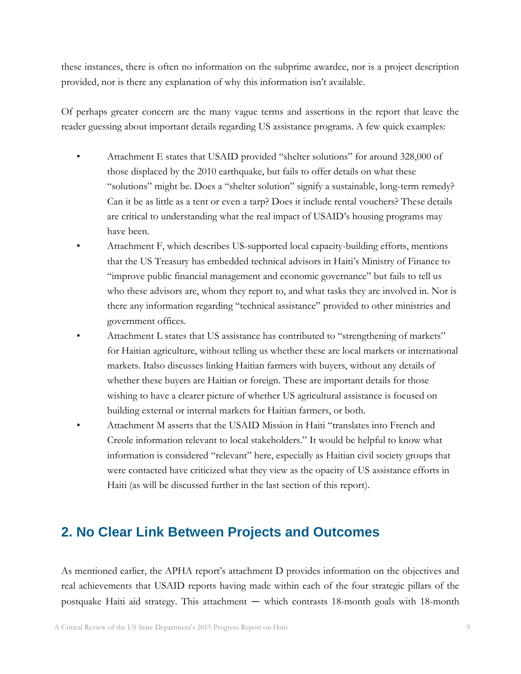these instances, there is often no information on the subprime awardee, nor is a project description provided, nor is there any explanation of why this information isn't available.

Of perhaps greater concern are the many vague terms and assertions in the report that leave the reader guessing about important details regarding US assistance programs. A few quick examples:

- Attachment E states that USAID provided "shelter solutions" for around 328,000 of those displaced by the 2010 earthquake, but fails to offer details on what these "solutions" might be. Does a "shelter solution" signify a sustainable, long-term remedy? Can it be as little as a tent or even a tarp? Does it include rental vouchers? These details are critical to understanding what the real impact of USAID's housing programs may have been.
- Attachment F, which describes US-supported local capacity-building efforts, mentions that the US Treasury has embedded technical advisors in Haiti's Ministry of Finance to "improve public financial management and economic governance" but fails to tell us who these advisors are, whom they report to, and what tasks they are involved in. Nor is there any information regarding "technical assistance" provided to other ministries and government offices.
- Attachment L states that US assistance has contributed to "strengthening of markets" for Haitian agriculture, without telling us whether these are local markets or international markets. Italso discusses linking Haitian farmers with buyers, without any details of whether these buyers are Haitian or foreign. These are important details for those wishing to have a clearer picture of whether US agricultural assistance is focused on building external or internal markets for Haitian farmers, or both.
- Attachment M asserts that the USAID Mission in Haiti "translates into French and Creole information relevant to local stakeholders." It would be helpful to know what information is considered "relevant" here, especially as Haitian civil society groups that were contacted have criticized what they view as the opacity of US assistance efforts in Haiti (as will be discussed further in the last section of this report).

#### <span id="page-9-0"></span>**2. No Clear Link Between Projects and Outcomes**

As mentioned earlier, the APHA report's attachment D provides information on the objectives and real achievements that USAID reports having made within each of the four strategic pillars of the postquake Haiti aid strategy. This attachment — which contrasts 18-month goals with 18-month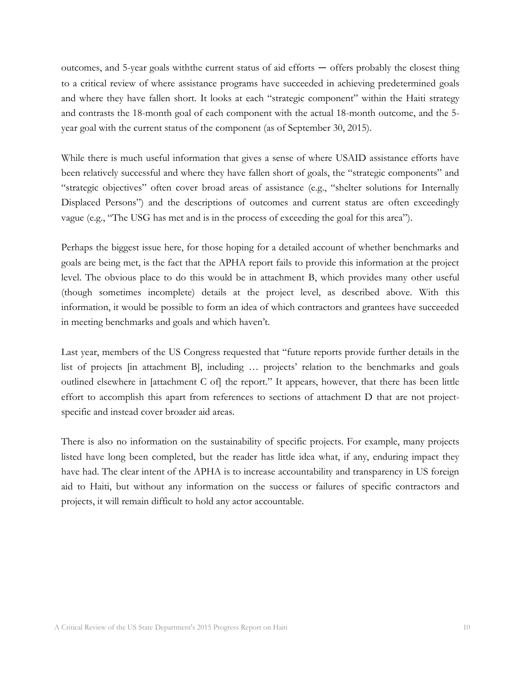outcomes, and 5-year goals withthe current status of aid efforts — offers probably the closest thing to a critical review of where assistance programs have succeeded in achieving predetermined goals and where they have fallen short. It looks at each "strategic component" within the Haiti strategy and contrasts the 18-month goal of each component with the actual 18-month outcome, and the 5 year goal with the current status of the component (as of September 30, 2015).

While there is much useful information that gives a sense of where USAID assistance efforts have been relatively successful and where they have fallen short of goals, the "strategic components" and "strategic objectives" often cover broad areas of assistance (e.g., "shelter solutions for Internally Displaced Persons") and the descriptions of outcomes and current status are often exceedingly vague (e.g., "The USG has met and is in the process of exceeding the goal for this area").

Perhaps the biggest issue here, for those hoping for a detailed account of whether benchmarks and goals are being met, is the fact that the APHA report fails to provide this information at the project level. The obvious place to do this would be in attachment B, which provides many other useful (though sometimes incomplete) details at the project level, as described above. With this information, it would be possible to form an idea of which contractors and grantees have succeeded in meeting benchmarks and goals and which haven't.

Last year, members of the US Congress requested that "future reports provide further details in the list of projects [in attachment B], including … projects' relation to the benchmarks and goals outlined elsewhere in [attachment C of] the report." It appears, however, that there has been little effort to accomplish this apart from references to sections of attachment D that are not projectspecific and instead cover broader aid areas.

There is also no information on the sustainability of specific projects. For example, many projects listed have long been completed, but the reader has little idea what, if any, enduring impact they have had. The clear intent of the APHA is to increase accountability and transparency in US foreign aid to Haiti, but without any information on the success or failures of specific contractors and projects, it will remain difficult to hold any actor accountable.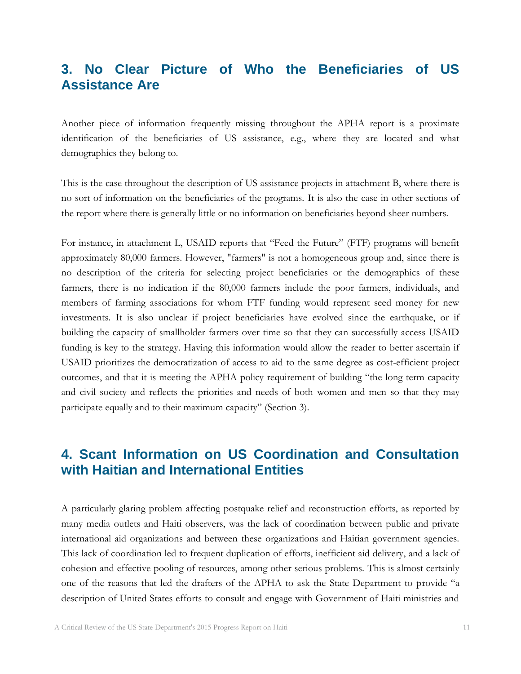### <span id="page-11-0"></span>**3. No Clear Picture of Who the Beneficiaries of US Assistance Are**

Another piece of information frequently missing throughout the APHA report is a proximate identification of the beneficiaries of US assistance, e.g., where they are located and what demographics they belong to.

This is the case throughout the description of US assistance projects in attachment B, where there is no sort of information on the beneficiaries of the programs. It is also the case in other sections of the report where there is generally little or no information on beneficiaries beyond sheer numbers.

For instance, in attachment L, USAID reports that "Feed the Future" (FTF) programs will benefit approximately 80,000 farmers. However, "farmers" is not a homogeneous group and, since there is no description of the criteria for selecting project beneficiaries or the demographics of these farmers, there is no indication if the 80,000 farmers include the poor farmers, individuals, and members of farming associations for whom FTF funding would represent seed money for new investments. It is also unclear if project beneficiaries have evolved since the earthquake, or if building the capacity of smallholder farmers over time so that they can successfully access USAID funding is key to the strategy. Having this information would allow the reader to better ascertain if USAID prioritizes the democratization of access to aid to the same degree as cost-efficient project outcomes, and that it is meeting the APHA policy requirement of building "the long term capacity and civil society and reflects the priorities and needs of both women and men so that they may participate equally and to their maximum capacity" (Section 3).

## <span id="page-11-1"></span>**4. Scant Information on US Coordination and Consultation with Haitian and International Entities**

A particularly glaring problem affecting postquake relief and reconstruction efforts, as reported by many media outlets and Haiti observers, was the lack of coordination between public and private international aid organizations and between these organizations and Haitian government agencies. This lack of coordination led to frequent duplication of efforts, inefficient aid delivery, and a lack of cohesion and effective pooling of resources, among other serious problems. This is almost certainly one of the reasons that led the drafters of the APHA to ask the State Department to provide "a description of United States efforts to consult and engage with Government of Haiti ministries and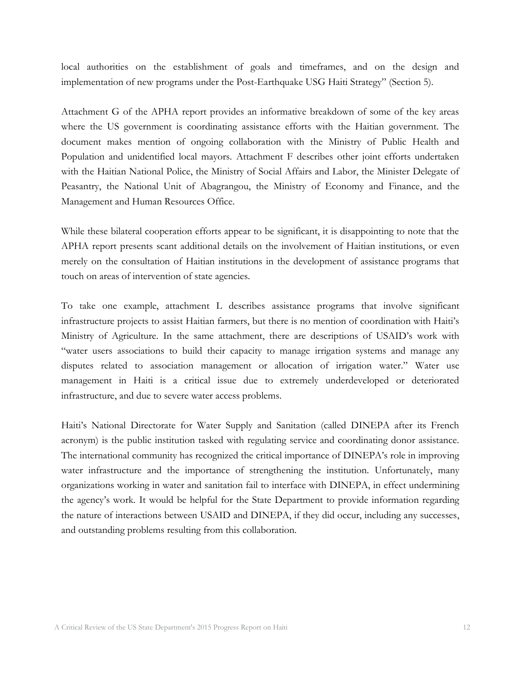local authorities on the establishment of goals and timeframes, and on the design and implementation of new programs under the Post-Earthquake USG Haiti Strategy" (Section 5).

Attachment G of the APHA report provides an informative breakdown of some of the key areas where the US government is coordinating assistance efforts with the Haitian government. The document makes mention of ongoing collaboration with the Ministry of Public Health and Population and unidentified local mayors. Attachment F describes other joint efforts undertaken with the Haitian National Police, the Ministry of Social Affairs and Labor, the Minister Delegate of Peasantry, the National Unit of Abagrangou, the Ministry of Economy and Finance, and the Management and Human Resources Office.

While these bilateral cooperation efforts appear to be significant, it is disappointing to note that the APHA report presents scant additional details on the involvement of Haitian institutions, or even merely on the consultation of Haitian institutions in the development of assistance programs that touch on areas of intervention of state agencies.

To take one example, attachment L describes assistance programs that involve significant infrastructure projects to assist Haitian farmers, but there is no mention of coordination with Haiti's Ministry of Agriculture. In the same attachment, there are descriptions of USAID's work with "water users associations to build their capacity to manage irrigation systems and manage any disputes related to association management or allocation of irrigation water." Water use management in Haiti is a critical issue due to extremely underdeveloped or deteriorated infrastructure, and due to severe water access problems.

Haiti's National Directorate for Water Supply and Sanitation (called DINEPA after its French acronym) is the public institution tasked with regulating service and coordinating donor assistance. The international community has recognized the critical importance of DINEPA's role in improving water infrastructure and the importance of strengthening the institution. Unfortunately, many organizations working in water and sanitation fail to interface with DINEPA, in effect undermining the agency's work. It would be helpful for the State Department to provide information regarding the nature of interactions between USAID and DINEPA, if they did occur, including any successes, and outstanding problems resulting from this collaboration.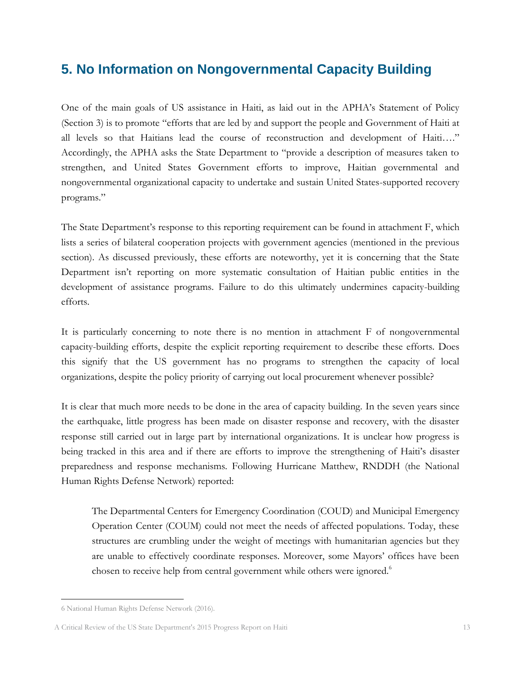## <span id="page-13-0"></span>**5. No Information on Nongovernmental Capacity Building**

One of the main goals of US assistance in Haiti, as laid out in the APHA's Statement of Policy (Section 3) is to promote "efforts that are led by and support the people and Government of Haiti at all levels so that Haitians lead the course of reconstruction and development of Haiti…." Accordingly, the APHA asks the State Department to "provide a description of measures taken to strengthen, and United States Government efforts to improve, Haitian governmental and nongovernmental organizational capacity to undertake and sustain United States-supported recovery programs."

The State Department's response to this reporting requirement can be found in attachment F, which lists a series of bilateral cooperation projects with government agencies (mentioned in the previous section). As discussed previously, these efforts are noteworthy, yet it is concerning that the State Department isn't reporting on more systematic consultation of Haitian public entities in the development of assistance programs. Failure to do this ultimately undermines capacity-building efforts.

It is particularly concerning to note there is no mention in attachment F of nongovernmental capacity-building efforts, despite the explicit reporting requirement to describe these efforts. Does this signify that the US government has no programs to strengthen the capacity of local organizations, despite the policy priority of carrying out local procurement whenever possible?

It is clear that much more needs to be done in the area of capacity building. In the seven years since the earthquake, little progress has been made on disaster response and recovery, with the disaster response still carried out in large part by international organizations. It is unclear how progress is being tracked in this area and if there are efforts to improve the strengthening of Haiti's disaster preparedness and response mechanisms. Following Hurricane Matthew, RNDDH (the National Human Rights Defense Network) reported:

The Departmental Centers for Emergency Coordination (COUD) and Municipal Emergency Operation Center (COUM) could not meet the needs of affected populations. Today, these structures are crumbling under the weight of meetings with humanitarian agencies but they are unable to effectively coordinate responses. Moreover, some Mayors' offices have been chosen to receive help from central government while others were ignored.<sup>6</sup>

<sup>6</sup> National Human Rights Defense Network (2016).

A Critical Review of the US State Department's 2015 Progress Report on Haiti 13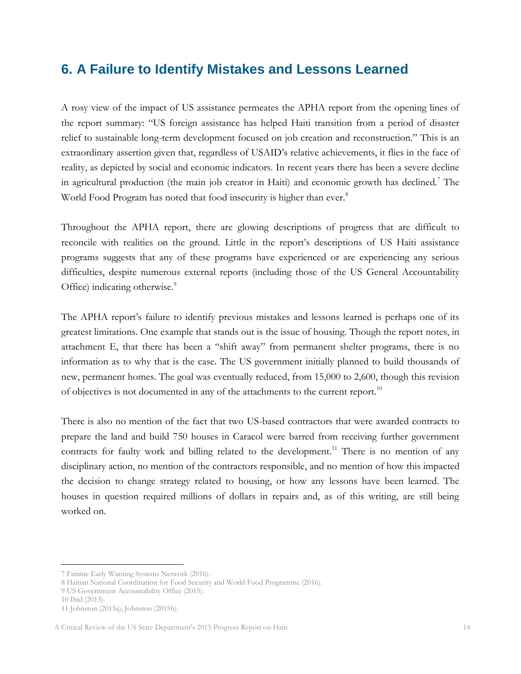### <span id="page-14-0"></span>**6. A Failure to Identify Mistakes and Lessons Learned**

A rosy view of the impact of US assistance permeates the APHA report from the opening lines of the report summary: "US foreign assistance has helped Haiti transition from a period of disaster relief to sustainable long-term development focused on job creation and reconstruction." This is an extraordinary assertion given that, regardless of USAID's relative achievements, it flies in the face of reality, as depicted by social and economic indicators. In recent years there has been a severe decline in agricultural production (the main job creator in Haiti) and economic growth has declined.<sup>7</sup> The World Food Program has noted that food insecurity is higher than ever.<sup>8</sup>

Throughout the APHA report, there are glowing descriptions of progress that are difficult to reconcile with realities on the ground. Little in the report's descriptions of US Haiti assistance programs suggests that any of these programs have experienced or are experiencing any serious difficulties, despite numerous external reports (including those of the US General Accountability Office) indicating otherwise.<sup>9</sup>

The APHA report's failure to identify previous mistakes and lessons learned is perhaps one of its greatest limitations. One example that stands out is the issue of housing. Though the report notes, in attachment E, that there has been a "shift away" from permanent shelter programs, there is no information as to why that is the case. The US government initially planned to build thousands of new, permanent homes. The goal was eventually reduced, from 15,000 to 2,600, though this revision of objectives is not documented in any of the attachments to the current report.<sup>10</sup>

There is also no mention of the fact that two US-based contractors that were awarded contracts to prepare the land and build 750 houses in Caracol were barred from receiving further government contracts for faulty work and billing related to the development.<sup>11</sup> There is no mention of any disciplinary action, no mention of the contractors responsible, and no mention of how this impacted the decision to change strategy related to housing, or how any lessons have been learned. The houses in question required millions of dollars in repairs and, as of this writing, are still being worked on.

<sup>7</sup> Famine Early Warning Systems Network (2016).

<sup>8</sup> Haitian National Coordination for Food Security and World Food Programme (2016).

<sup>9</sup> US Government Accountability Office (2015).

<sup>10</sup> Ibid (2013).

<sup>11</sup> Johnston (2015a), Johnston (2015b).

A Critical Review of the US State Department's 2015 Progress Report on Haiti 14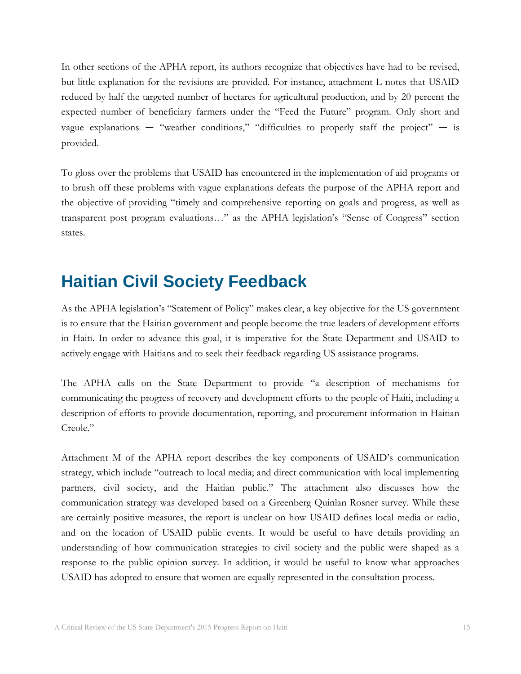In other sections of the APHA report, its authors recognize that objectives have had to be revised, but little explanation for the revisions are provided. For instance, attachment L notes that USAID reduced by half the targeted number of hectares for agricultural production, and by 20 percent the expected number of beneficiary farmers under the "Feed the Future" program. Only short and vague explanations  $-$  "weather conditions," "difficulties to properly staff the project"  $-$  is provided.

To gloss over the problems that USAID has encountered in the implementation of aid programs or to brush off these problems with vague explanations defeats the purpose of the APHA report and the objective of providing "timely and comprehensive reporting on goals and progress, as well as transparent post program evaluations…" as the APHA legislation's "Sense of Congress" section states.

## <span id="page-15-0"></span>**Haitian Civil Society Feedback**

As the APHA legislation's "Statement of Policy" makes clear, a key objective for the US government is to ensure that the Haitian government and people become the true leaders of development efforts in Haiti. In order to advance this goal, it is imperative for the State Department and USAID to actively engage with Haitians and to seek their feedback regarding US assistance programs.

The APHA calls on the State Department to provide "a description of mechanisms for communicating the progress of recovery and development efforts to the people of Haiti, including a description of efforts to provide documentation, reporting, and procurement information in Haitian Creole"

Attachment M of the APHA report describes the key components of USAID's communication strategy, which include "outreach to local media; and direct communication with local implementing partners, civil society, and the Haitian public." The attachment also discusses how the communication strategy was developed based on a Greenberg Quinlan Rosner survey. While these are certainly positive measures, the report is unclear on how USAID defines local media or radio, and on the location of USAID public events. It would be useful to have details providing an understanding of how communication strategies to civil society and the public were shaped as a response to the public opinion survey. In addition, it would be useful to know what approaches USAID has adopted to ensure that women are equally represented in the consultation process.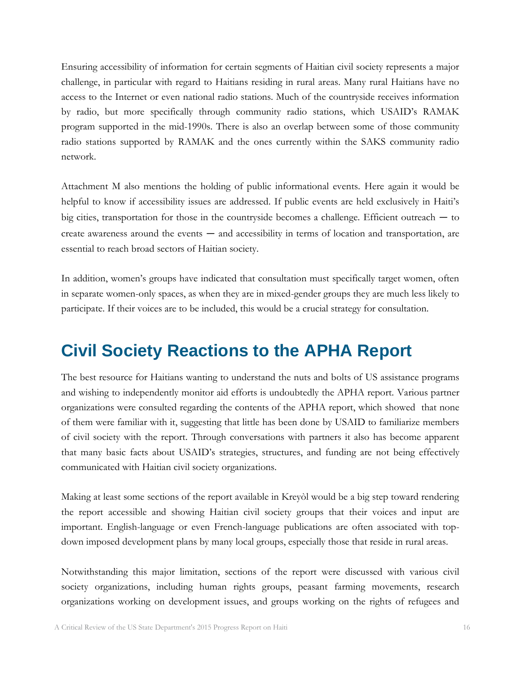Ensuring accessibility of information for certain segments of Haitian civil society represents a major challenge, in particular with regard to Haitians residing in rural areas. Many rural Haitians have no access to the Internet or even national radio stations. Much of the countryside receives information by radio, but more specifically through community radio stations, which USAID's RAMAK program supported in the mid-1990s. There is also an overlap between some of those community radio stations supported by RAMAK and the ones currently within the SAKS community radio network.

Attachment M also mentions the holding of public informational events. Here again it would be helpful to know if accessibility issues are addressed. If public events are held exclusively in Haiti's big cities, transportation for those in the countryside becomes a challenge. Efficient outreach — to create awareness around the events — and accessibility in terms of location and transportation, are essential to reach broad sectors of Haitian society.

In addition, women's groups have indicated that consultation must specifically target women, often in separate women-only spaces, as when they are in mixed-gender groups they are much less likely to participate. If their voices are to be included, this would be a crucial strategy for consultation.

## <span id="page-16-0"></span>**Civil Society Reactions to the APHA Report**

The best resource for Haitians wanting to understand the nuts and bolts of US assistance programs and wishing to independently monitor aid efforts is undoubtedly the APHA report. Various partner organizations were consulted regarding the contents of the APHA report, which showed that none of them were familiar with it, suggesting that little has been done by USAID to familiarize members of civil society with the report. Through conversations with partners it also has become apparent that many basic facts about USAID's strategies, structures, and funding are not being effectively communicated with Haitian civil society organizations.

Making at least some sections of the report available in Kreyòl would be a big step toward rendering the report accessible and showing Haitian civil society groups that their voices and input are important. English-language or even French-language publications are often associated with topdown imposed development plans by many local groups, especially those that reside in rural areas.

Notwithstanding this major limitation, sections of the report were discussed with various civil society organizations, including human rights groups, peasant farming movements, research organizations working on development issues, and groups working on the rights of refugees and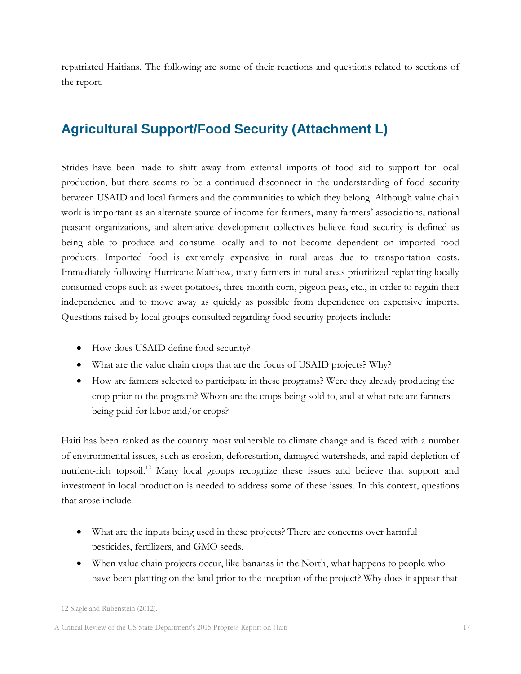repatriated Haitians. The following are some of their reactions and questions related to sections of the report.

## <span id="page-17-0"></span>**Agricultural Support/Food Security (Attachment L)**

Strides have been made to shift away from external imports of food aid to support for local production, but there seems to be a continued disconnect in the understanding of food security between USAID and local farmers and the communities to which they belong. Although value chain work is important as an alternate source of income for farmers, many farmers' associations, national peasant organizations, and alternative development collectives believe food security is defined as being able to produce and consume locally and to not become dependent on imported food products. Imported food is extremely expensive in rural areas due to transportation costs. Immediately following Hurricane Matthew, many farmers in rural areas prioritized replanting locally consumed crops such as sweet potatoes, three-month corn, pigeon peas, etc., in order to regain their independence and to move away as quickly as possible from dependence on expensive imports. Questions raised by local groups consulted regarding food security projects include:

- How does USAID define food security?
- What are the value chain crops that are the focus of USAID projects? Why?
- How are farmers selected to participate in these programs? Were they already producing the crop prior to the program? Whom are the crops being sold to, and at what rate are farmers being paid for labor and/or crops?

Haiti has been ranked as the country most vulnerable to climate change and is faced with a number of environmental issues, such as erosion, deforestation, damaged watersheds, and rapid depletion of nutrient-rich topsoil.<sup>12</sup> Many local groups recognize these issues and believe that support and investment in local production is needed to address some of these issues. In this context, questions that arose include:

- What are the inputs being used in these projects? There are concerns over harmful pesticides, fertilizers, and GMO seeds.
- When value chain projects occur, like bananas in the North, what happens to people who have been planting on the land prior to the inception of the project? Why does it appear that

 $\overline{a}$ 12 Slagle and Rubenstein (2012).

A Critical Review of the US State Department's 2015 Progress Report on Haiti 17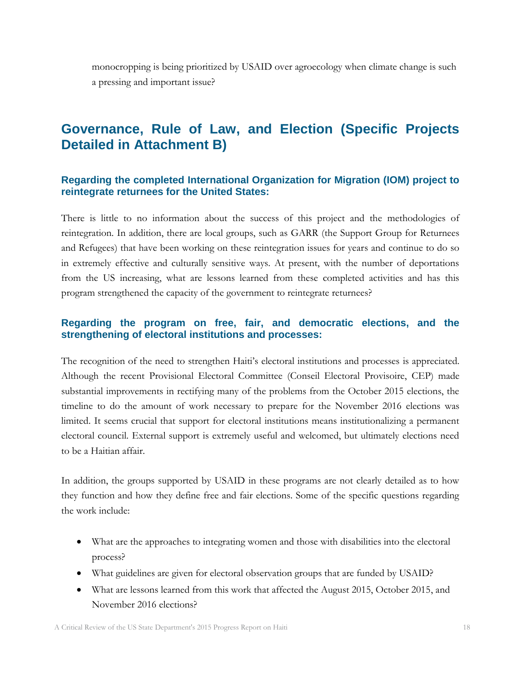monocropping is being prioritized by USAID over agroecology when climate change is such a pressing and important issue?

## <span id="page-18-0"></span>**Governance, Rule of Law, and Election (Specific Projects Detailed in Attachment B)**

#### **Regarding the completed International Organization for Migration (IOM) project to reintegrate returnees for the United States:**

There is little to no information about the success of this project and the methodologies of reintegration. In addition, there are local groups, such as GARR (the Support Group for Returnees and Refugees) that have been working on these reintegration issues for years and continue to do so in extremely effective and culturally sensitive ways. At present, with the number of deportations from the US increasing, what are lessons learned from these completed activities and has this program strengthened the capacity of the government to reintegrate returnees?

#### **Regarding the program on free, fair, and democratic elections, and the strengthening of electoral institutions and processes:**

The recognition of the need to strengthen Haiti's electoral institutions and processes is appreciated. Although the recent Provisional Electoral Committee (Conseil Electoral Provisoire, CEP) made substantial improvements in rectifying many of the problems from the October 2015 elections, the timeline to do the amount of work necessary to prepare for the November 2016 elections was limited. It seems crucial that support for electoral institutions means institutionalizing a permanent electoral council. External support is extremely useful and welcomed, but ultimately elections need to be a Haitian affair.

In addition, the groups supported by USAID in these programs are not clearly detailed as to how they function and how they define free and fair elections. Some of the specific questions regarding the work include:

- What are the approaches to integrating women and those with disabilities into the electoral process?
- What guidelines are given for electoral observation groups that are funded by USAID?
- What are lessons learned from this work that affected the August 2015, October 2015, and November 2016 elections?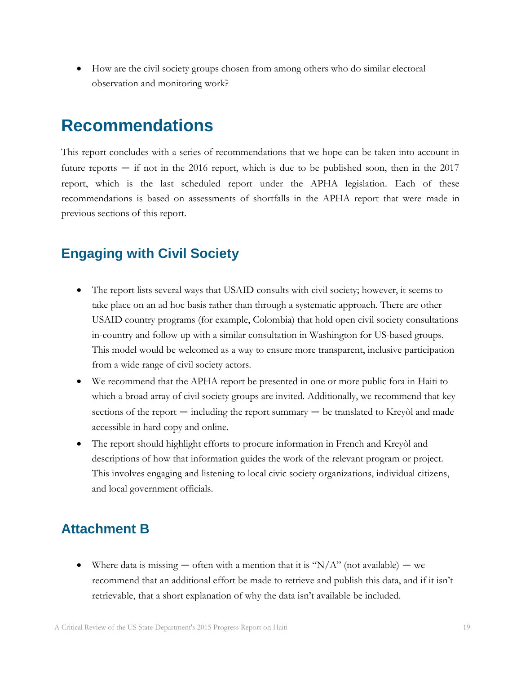How are the civil society groups chosen from among others who do similar electoral observation and monitoring work?

## <span id="page-19-0"></span>**Recommendations**

This report concludes with a series of recommendations that we hope can be taken into account in future reports  $-$  if not in the 2016 report, which is due to be published soon, then in the 2017 report, which is the last scheduled report under the APHA legislation. Each of these recommendations is based on assessments of shortfalls in the APHA report that were made in previous sections of this report.

### <span id="page-19-1"></span>**Engaging with Civil Society**

- The report lists several ways that USAID consults with civil society; however, it seems to take place on an ad hoc basis rather than through a systematic approach. There are other USAID country programs (for example, Colombia) that hold open civil society consultations in-country and follow up with a similar consultation in Washington for US-based groups. This model would be welcomed as a way to ensure more transparent, inclusive participation from a wide range of civil society actors.
- We recommend that the APHA report be presented in one or more public fora in Haiti to which a broad array of civil society groups are invited. Additionally, we recommend that key sections of the report — including the report summary — be translated to Kreyòl and made accessible in hard copy and online.
- The report should highlight efforts to procure information in French and Kreyòl and descriptions of how that information guides the work of the relevant program or project. This involves engaging and listening to local civic society organizations, individual citizens, and local government officials.

#### <span id="page-19-2"></span>**Attachment B**

• Where data is missing  $-$  often with a mention that it is "N/A" (not available)  $-$  we recommend that an additional effort be made to retrieve and publish this data, and if it isn't retrievable, that a short explanation of why the data isn't available be included.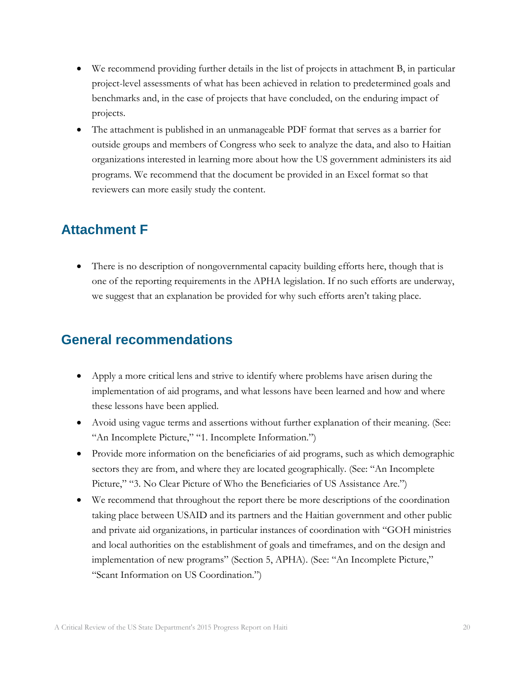- We recommend providing further details in the list of projects in attachment B, in particular project-level assessments of what has been achieved in relation to predetermined goals and benchmarks and, in the case of projects that have concluded, on the enduring impact of projects.
- The attachment is published in an unmanageable PDF format that serves as a barrier for outside groups and members of Congress who seek to analyze the data, and also to Haitian organizations interested in learning more about how the US government administers its aid programs. We recommend that the document be provided in an Excel format so that reviewers can more easily study the content.

## <span id="page-20-0"></span>**Attachment F**

• There is no description of nongovernmental capacity building efforts here, though that is one of the reporting requirements in the APHA legislation. If no such efforts are underway, we suggest that an explanation be provided for why such efforts aren't taking place.

## <span id="page-20-1"></span>**General recommendations**

- Apply a more critical lens and strive to identify where problems have arisen during the implementation of aid programs, and what lessons have been learned and how and where these lessons have been applied.
- Avoid using vague terms and assertions without further explanation of their meaning. (See: "An Incomplete Picture," "1. Incomplete Information.")
- Provide more information on the beneficiaries of aid programs, such as which demographic sectors they are from, and where they are located geographically. (See: "An Incomplete Picture," "3. No Clear Picture of Who the Beneficiaries of US Assistance Are.")
- We recommend that throughout the report there be more descriptions of the coordination taking place between USAID and its partners and the Haitian government and other public and private aid organizations, in particular instances of coordination with "GOH ministries and local authorities on the establishment of goals and timeframes, and on the design and implementation of new programs" (Section 5, APHA). (See: "An Incomplete Picture," "Scant Information on US Coordination.")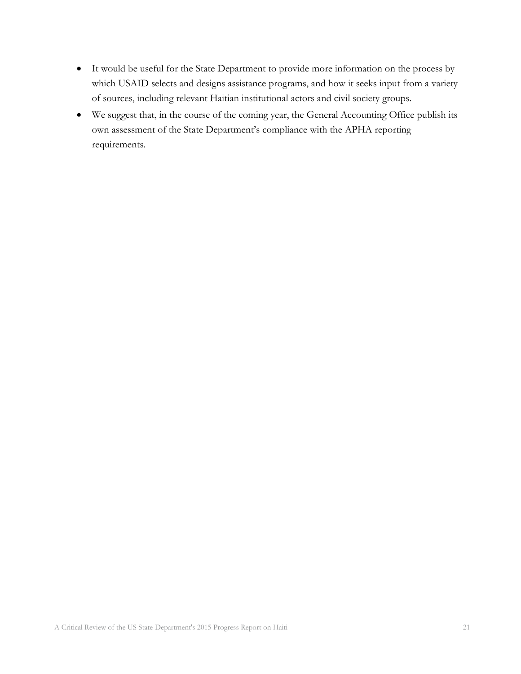- It would be useful for the State Department to provide more information on the process by which USAID selects and designs assistance programs, and how it seeks input from a variety of sources, including relevant Haitian institutional actors and civil society groups.
- We suggest that, in the course of the coming year, the General Accounting Office publish its own assessment of the State Department's compliance with the APHA reporting requirements.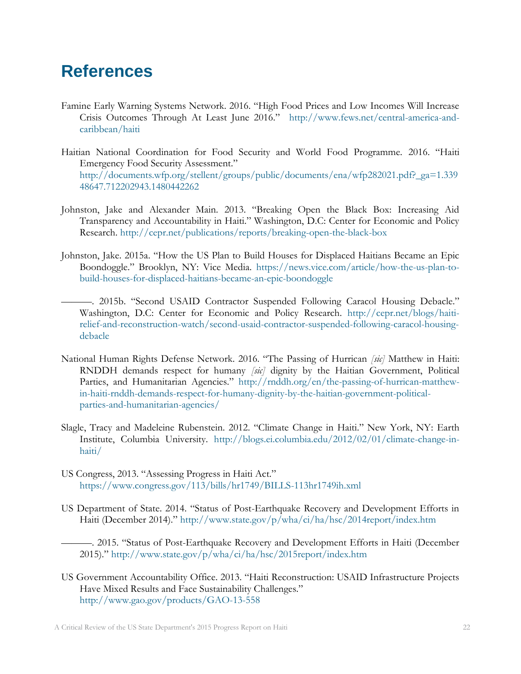## <span id="page-22-0"></span>**References**

- Famine Early Warning Systems Network. 2016. "High Food Prices and Low Incomes Will Increase Crisis Outcomes Through At Least June 2016." [http://www.fews.net/central-america-and](http://www.fews.net/central-america-and-caribbean/haiti)[caribbean/haiti](http://www.fews.net/central-america-and-caribbean/haiti)
- Haitian National Coordination for Food Security and World Food Programme. 2016. "Haiti Emergency Food Security Assessment." [http://documents.wfp.org/stellent/groups/public/documents/ena/wfp282021.pdf?\\_ga=1.339](http://documents.wfp.org/stellent/groups/public/documents/ena/wfp282021.pdf?_ga=1.33948647.712202943.1480442262) [48647.712202943.1480442262](http://documents.wfp.org/stellent/groups/public/documents/ena/wfp282021.pdf?_ga=1.33948647.712202943.1480442262)
- Johnston, Jake and Alexander Main. 2013. "Breaking Open the Black Box: Increasing Aid Transparency and Accountability in Haiti." Washington, D.C: Center for Economic and Policy Research.<http://cepr.net/publications/reports/breaking-open-the-black-box>
- Johnston, Jake. 2015a. "How the US Plan to Build Houses for Displaced Haitians Became an Epic Boondoggle." Brooklyn, NY: Vice Media. [https://news.vice.com/article/how-the-us-plan-to](https://news.vice.com/article/how-the-us-plan-to-build-houses-for-displaced-haitians-became-an-epic-boondoggle)[build-houses-for-displaced-haitians-became-an-epic-boondoggle](https://news.vice.com/article/how-the-us-plan-to-build-houses-for-displaced-haitians-became-an-epic-boondoggle)
	- ———. 2015b. "Second USAID Contractor Suspended Following Caracol Housing Debacle." Washington, D.C: Center for Economic and Policy Research. [http://cepr.net/blogs/haiti](http://cepr.net/blogs/haiti-relief-and-reconstruction-watch/second-usaid-contractor-suspended-following-caracol-housing-debacle)[relief-and-reconstruction-watch/second-usaid-contractor-suspended-following-caracol-housing](http://cepr.net/blogs/haiti-relief-and-reconstruction-watch/second-usaid-contractor-suspended-following-caracol-housing-debacle)[debacle](http://cepr.net/blogs/haiti-relief-and-reconstruction-watch/second-usaid-contractor-suspended-following-caracol-housing-debacle)
- National Human Rights Defense Network. 2016. "The Passing of Hurrican *[sic]* Matthew in Haiti: RNDDH demands respect for humany *[sic]* dignity by the Haitian Government, Political Parties, and Humanitarian Agencies." [http://rnddh.org/en/the-passing-of-hurrican-matthew](http://rnddh.org/en/the-passing-of-hurrican-matthew-in-haiti-rnddh-demands-respect-for-humany-dignity-by-the-haitian-government-political-parties-and-humanitarian-agencies/)[in-haiti-rnddh-demands-respect-for-humany-dignity-by-the-haitian-government-political](http://rnddh.org/en/the-passing-of-hurrican-matthew-in-haiti-rnddh-demands-respect-for-humany-dignity-by-the-haitian-government-political-parties-and-humanitarian-agencies/)[parties-and-humanitarian-agencies/](http://rnddh.org/en/the-passing-of-hurrican-matthew-in-haiti-rnddh-demands-respect-for-humany-dignity-by-the-haitian-government-political-parties-and-humanitarian-agencies/)
- Slagle, Tracy and Madeleine Rubenstein. 2012. "Climate Change in Haiti." New York, NY: Earth Institute, Columbia University. [http://blogs.ei.columbia.edu/2012/02/01/climate-change-in](http://blogs.ei.columbia.edu/2012/02/01/climate-change-in-haiti/)[haiti/](http://blogs.ei.columbia.edu/2012/02/01/climate-change-in-haiti/)
- US Congress, 2013. "Assessing Progress in Haiti Act." <https://www.congress.gov/113/bills/hr1749/BILLS-113hr1749ih.xml>
- US Department of State. 2014. "Status of Post-Earthquake Recovery and Development Efforts in Haiti (December 2014)." <http://www.state.gov/p/wha/ci/ha/hsc/2014report/index.htm>
	- ———. 2015. "Status of Post-Earthquake Recovery and Development Efforts in Haiti (December 2015)." <http://www.state.gov/p/wha/ci/ha/hsc/2015report/index.htm>
- US Government Accountability Office. 2013. "Haiti Reconstruction: USAID Infrastructure Projects Have Mixed Results and Face Sustainability Challenges." <http://www.gao.gov/products/GAO-13-558>